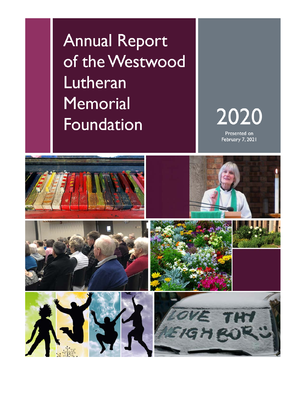**Annual Report** of the Westwood Lutheran **Memorial Foundation** 

2020

Presented on February 7, 2021

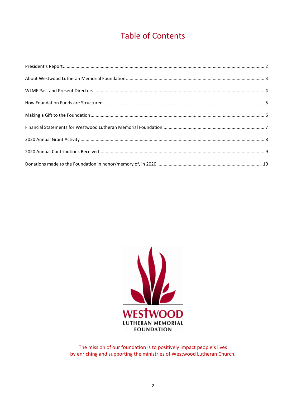## **Table of Contents**



The mission of our foundation is to positively impact people's lives by enriching and supporting the ministries of Westwood Lutheran Church.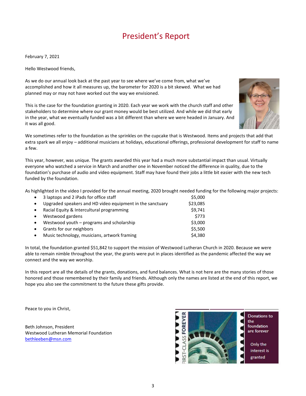## President's Report

February 7, 2021

Hello Westwood friends,

As we do our annual look back at the past year to see where we've come from, what we've accomplished and how it all measures up, the barometer for 2020 is a bit skewed. What we had planned may or may not have worked out the way we envisioned.

This is the case for the foundation granting in 2020. Each year we work with the church staff and other stakeholders to determine where our grant money would be best utilized. And while we did that early in the year, what we eventually funded was a bit different than where we were headed in January. And it was all good.



We sometimes refer to the foundation as the sprinkles on the cupcake that is Westwood. Items and projects that add that extra spark we all enjoy – additional musicians at holidays, educational offerings, professional development for staff to name a few.

This year, however, was unique. The grants awarded this year had a much more substantial impact than usual. Virtually everyone who watched a service in March and another one in November noticed the difference in quality, due to the foundation's purchase of audio and video equipment. Staff may have found their jobs a little bit easier with the new tech funded by the foundation.

As highlighted in the video I provided for the annual meeting, 2020 brought needed funding for the following major projects:

| $\bullet$ | 3 laptops and 2 iPads for office staff                    | \$5,000  |
|-----------|-----------------------------------------------------------|----------|
| $\bullet$ | Upgraded speakers and HD video equipment in the sanctuary | \$23,085 |
| $\bullet$ | Racial Equity & Intercultural programming                 | \$9.741  |
| $\bullet$ | Westwood gardens                                          | \$773    |
| $\bullet$ | Westwood youth – programs and scholarship                 | \$3,000  |
| $\bullet$ | Grants for our neighbors                                  | \$5.500  |
| $\bullet$ | Music technology, musicians, artwork framing              | \$4,380  |

In total, the foundation granted \$51,842 to support the mission of Westwood Lutheran Church in 2020. Because we were able to remain nimble throughout the year, the grants were put in places identified as the pandemic affected the way we connect and the way we worship.

In this report are all the details of the grants, donations, and fund balances. What is not here are the many stories of those honored and those remembered by their family and friends. Although only the names are listed at the end of this report, we hope you also see the commitment to the future these gifts provide.

Peace to you in Christ,

Beth Johnson, President Westwood Lutheran Memorial Foundation [bethleeben@msn.com](mailto:bethleeben@msn.com)

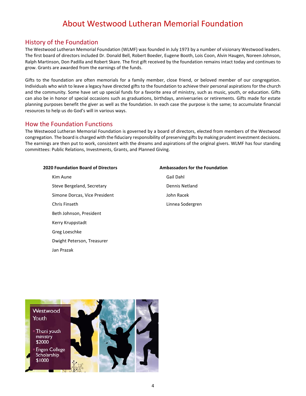## About Westwood Lutheran Memorial Foundation

### History of the Foundation

The Westwood Lutheran Memorial Foundation (WLMF) was founded in July 1973 by a number of visionary Westwood leaders. The first board of directors included Dr. Donald Bell, Robert Boeder, Eugene Booth, Lois Coon, Alvin Haugen, Noreen Johnson, Ralph Martinson, Don Padilla and Robert Skare. The first gift received by the foundation remains intact today and continues to grow. Grants are awarded from the earnings of the funds.

Gifts to the foundation are often memorials for a family member, close friend, or beloved member of our congregation. Individuals who wish to leave a legacy have directed gifts to the foundation to achieve their personal aspirations for the church and the community. Some have set up special funds for a favorite area of ministry, such as music, youth, or education. Gifts can also be in honor of special occasions such as graduations, birthdays, anniversaries or retirements. Gifts made for estate planning purposes benefit the giver as well as the foundation. In each case the purpose is the same; to accumulate financial resources to help us do God's will in various ways.

### How the Foundation Functions

The Westwood Lutheran Memorial Foundation is governed by a board of directors, elected from members of the Westwood congregation. The board is charged with the fiduciary responsibility of preserving gifts by making prudent investment decisions. The earnings are then put to work, consistent with the dreams and aspirations of the original givers. WLMF has four standing committees: Public Relations, Investments, Grants, and Planned Giving.

#### **2020 Foundation Board of Directors**

- Kim Aune Steve Bergeland, Secretary Simone Dorcas, Vice President Chris Finseth Beth Johnson, President Kerry Kruppstadt Greg Loeschke Dwight Peterson, Treasurer Jan Prazak
- **Ambassadors for the Foundation** Gail Dahl Dennis Netland John Racek Linnea Sodergren

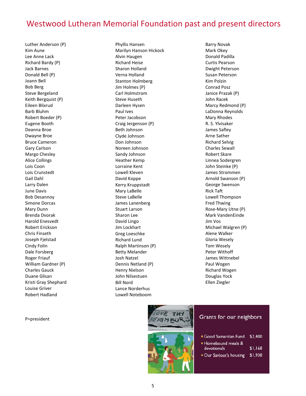## Westwood Lutheran Memorial Foundation past and present directors

Luther Anderson (P) Kim Aune Lee Anne Lack Richard Bardy (P) Jack Barnes Donald Bell (P) Joann Bell Bob Berg Steve Bergeland Keith Bergquist (P) Eileen Blixrud Barb Bluhm Robert Boeder (P) Eugene Booth Deanna Broe Dwayne Broe Bruce Cameron Gary Carlson Margo Chesley Alice Collings Lois Coon Lois Crunstedt Gail Dahl Larry Dalen June Davis Bob Desannoy Simone Dorcas Mary Dunn Brenda Dvorak Harold Enesvedt Robert Erickson Chris Finseth Joseph Fjelstad Cindy Folin Dale Forsberg Roger Friauf William Gardner (P) Charles Gauck Duane Glisan Kristi Gray Shephard Louise Griver Robert Hadland

P=president

Phyllis Hansen Marilyn Hanson Hickock Alvin Haugen Richard Heise Sharon Holland Verna Holland Stanton Holmberg Jim Holmes (P) Carl Holmstrom Steve Huseth Darleen Hysen Paul Ives Peter Jacobson Craig Jergenson (P) Beth Johnson Clyde Johnson Don Johnson Noreen Johnson Sandy Johnson Heather Kemp Lorraine Kent Lowell Kleven David Koppe Kerry Kruppstadt Mary LaBelle Steve LaBelle James Lanenberg Stuart Larson Sharon Lee David Lingo Jim Lockhart Greg Loeschke Richard Lund Ralph Martinson (P) Betty Melander Josh Natzel Dennis Netland (P) Henry Nielson John Nilsestuen Bill Nord Lance Norderhus Lowell Noteboom

Barry Novak Mark Okey Donald Padilla Curtis Pearson Dwight Peterson Susan Peterson Kim Polzin Conrad Posz Janice Prazak (P) John Racek Marcy Redmond (P) LaDonna Reynolds Mary Rhodes R. S. Ylvisaker James Safley Arne Sather Richard Selvig Charles Sewall Robert Skare Linnea Sodergren John Steinke (P) James Strommen Arnold Swanson (P) George Swenson Rick Taft Lowell Thompson Fred Thwing Rose-Mary Utne (P) Mark VandenEinde Jim Vos Michael Walgren (P) Alene Walker Gloria Wesely Tom Wesely Peter Withoff James Wittnebel Paul Wogen Richard Wogen Douglas Yock Ellen Ziegler



### Grants for our neighbors

| Good Samaritan Fund \$2,400          |  |
|--------------------------------------|--|
| $\blacksquare$ Hamshaund mask $\ell$ |  |

- $$1,168$ devotionals
- Our Saviour's housing \$1,938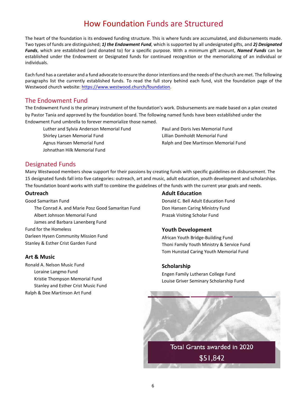## How Foundation Funds are Structured

The heart of the foundation is its endowed funding structure. This is where funds are accumulated, and disbursements made. Two types of funds are distinguished; *1) the Endowment Fund*, which is supported by all undesignated gifts, and *2) Designated Funds*, which are established (and donated to) for a specific purpose. With a minimum gift amount, *Named Funds* can be established under the Endowment or Designated funds for continued recognition or the memorializing of an individual or individuals.

Each fund has a caretaker and a fund advocate to ensure the donor intentions and the needs of the church are met. The following paragraphs list the currently established funds. To read the full story behind each fund, visit the foundation page of the Westwood church website[: https://www.westwood.church/foundation.](https://www.westwood.church/foundation)

### The Endowment Fund

The Endowment Fund is the primary instrument of the foundation's work. Disbursements are made based on a plan created by Pastor Tania and approved by the foundation board. The following named funds have been established under the Endowment Fund umbrella to forever memorialize those named.

Luther and Sylvia Anderson Memorial Fund

Shirley Larsen Memorial Fund Agnus Hansen Memorial Fund Johnathan Hilk Memorial Fund Paul and Doris Ives Memorial Fund Lillian Domholdt Memorial Fund Ralph and Dee Martinson Memorial Fund

### Designated Funds

Many Westwood members show support for their passions by creating funds with specific guidelines on disbursement. The 15 designated funds fall into five categories: outreach, art and music, adult education, youth development and scholarships. The foundation board works with staff to combine the guidelines of the funds with the current year goals and needs.

### **Outreach**

Good Samaritan Fund The Conrad A. and Marie Posz Good Samaritan Fund Albert Johnson Memorial Fund James and Barbara Lanenberg Fund Fund for the Homeless Darleen Hysen Community Mission Fund Stanley & Esther Crist Garden Fund

### **Art & Music**

Ronald A. Nelson Music Fund Loraine Langmo Fund Kristie Thompson Memorial Fund Stanley and Esther Crist Music Fund Ralph & Dee Martinson Art Fund

### **Adult Education**

Donald C. Bell Adult Education Fund Don Hansen Caring Ministry Fund Prazak Visiting Scholar Fund

### **Youth Development**

African Youth Bridge-Building Fund Thoni Family Youth Ministry & Service Fund Tom Hunstad Caring Youth Memorial Fund

### **Scholarship**

Engen Family Lutheran College Fund Louise Griver Seminary Scholarship Fund

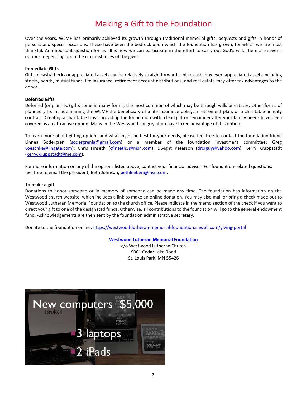## Making a Gift to the Foundation

Over the years, WLMF has primarily achieved its growth through traditional memorial gifts, bequests and gifts in honor of persons and special occasions. These have been the bedrock upon which the foundation has grown, for which we are most thankful. An important question for us all is how we can participate in the effort to carry out God's will. There are several options, depending upon the circumstances of the giver.

#### **Immediate Gifts**

Gifts of cash/checks or appreciated assets can be relatively straight forward. Unlike cash, however, appreciated assets including stocks, bonds, mutual funds, life insurance, retirement account distributions, and real estate may offer tax advantages to the donor.

#### **Deferred Gifts**

Deferred (or planned) gifts come in many forms; the most common of which may be through wills or estates. Other forms of planned gifts include naming the WLMF the beneficiary of a life insurance policy, a retirement plan, or a charitable annuity contract. Creating a charitable trust, providing the foundation with a lead gift or remainder after your family needs have been covered, is an attractive option. Many in the Westwood congregation have taken advantage of this option.

To learn more about gifting options and what might be best for your needs, please feel free to contact the foundation friend Linnea Sodergren [\(sodergrenla@gmail.com\)](mailto:sodergrenla@gmail.com) or a member of the foundation investment committee: Greg [Loeschke@lingate.com\)](mailto:Loeschke@lingate.com); Chris Finseth [\(cfinseth5@msn.com\)](mailto:cfinseth5@msn.com); Dwight Peterson [\(drcrguy@yahoo.com\)](mailto:drcrguy@yahoo.com); Kerry Kruppstadt [\(kerry.kruppstadt@me.com\)](mailto:kerry.kruppstadt@me.com).

For more information on any of the options listed above, contact your financial advisor. For foundation-related questions, feel free to email the president, Beth Johnson, [bethleeben@msn.com.](mailto:bethleeben@msn.com)

#### **To make a gift**

Donations to honor someone or in memory of someone can be made any time. The foundation has information on the Westwood church website, which includes a link to make an online donation. You may also mail or bring a check made out to Westwood Lutheran Memorial Foundation to the church office. Please indicate in the memo section of the check if you want to direct your gift to one of the designated funds. Otherwise, all contributions to the foundation will go to the general endowment fund. Acknowledgements are then sent by the foundation administrative secretary.

Donate to the foundation online:<https://westwood-lutheran-memorial-foundation.snwbll.com/giving-portal>

#### **[Westwood Lutheran Memorial Foundation](https://www.westwood.church/foundation)**

c/o Westwood Lutheran Church 9001 Cedar Lake Road St. Louis Park, MN 55426

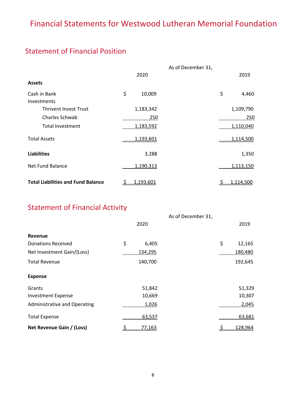## Financial Statements for Westwood Lutheran Memorial Foundation

## Statement of Financial Position

|                                           |                 | As of December 31, |             |
|-------------------------------------------|-----------------|--------------------|-------------|
|                                           | 2020            |                    | 2019        |
| <b>Assets</b>                             |                 |                    |             |
| Cash in Bank                              | \$<br>10,009    |                    | \$<br>4,460 |
| <b>Investments</b>                        |                 |                    |             |
| <b>Thrivent Invest Trust</b>              | 1,183,342       |                    | 1,109,790   |
| Charles Schwab                            | 250             |                    | 250         |
| <b>Total Investment</b>                   | 1,183,592       |                    | 1,110,040   |
| <b>Total Assets</b>                       | 1,193,601       |                    | 1,114,500   |
| <b>Liabilities</b>                        | 3,288           |                    | 1,350       |
| Net Fund Balance                          | 1,190,313       |                    | 1,113,150   |
| <b>Total Liabilities and Fund Balance</b> | 1,193,601<br>-S |                    | 1,114,500   |

## Statement of Financial Activity

|                              |          |         | As of December 31, |          |         |
|------------------------------|----------|---------|--------------------|----------|---------|
|                              |          | 2020    |                    |          | 2019    |
| <b>Revenue</b>               |          |         |                    |          |         |
| <b>Donations Received</b>    | \$       | 6,405   |                    | \$       | 12,165  |
| Net Investment Gain/(Loss)   |          | 134,295 |                    |          | 180,480 |
| <b>Total Revenue</b>         |          | 140,700 |                    |          | 192,645 |
| <b>Expense</b>               |          |         |                    |          |         |
| Grants                       |          | 51,842  |                    |          | 51,329  |
| <b>Investment Expense</b>    |          | 10,669  |                    |          | 10,307  |
| Administrative and Operating |          | 1,026   |                    |          | 2,045   |
| <b>Total Expense</b>         |          | 63,537  |                    |          | 63,681  |
| Net Revenue Gain / (Loss)    | <u>ځ</u> | 77,163  |                    | <u>ي</u> | 128,964 |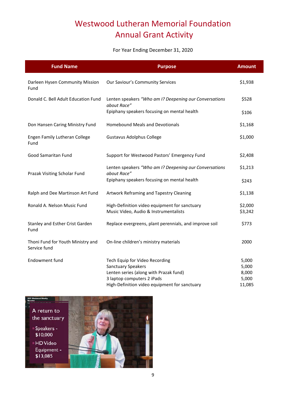## Westwood Lutheran Memorial Foundation Annual Grant Activity

### For Year Ending December 31, 2020

| <b>Fund Name</b>                                  | <b>Purpose</b>                                                                         | <b>Amount</b>      |
|---------------------------------------------------|----------------------------------------------------------------------------------------|--------------------|
| Darleen Hysen Community Mission<br>Fund           | Our Saviour's Community Services                                                       | \$1,938            |
| Donald C. Bell Adult Education Fund               | Lenten speakers "Who am I? Deepening our Conversations<br>about Race"                  | \$528              |
|                                                   | Epiphany speakers focusing on mental health                                            | \$106              |
| Don Hansen Caring Ministry Fund                   | <b>Homebound Meals and Devotionals</b>                                                 | \$1,168            |
| Engen Family Lutheran College<br>Fund             | <b>Gustavus Adolphus College</b>                                                       | \$1,000            |
| <b>Good Samaritan Fund</b>                        | Support for Westwood Pastors' Emergency Fund                                           | \$2,408            |
| Prazak Visiting Scholar Fund                      | Lenten speakers "Who am I? Deepening our Conversations<br>about Race"                  | \$1,213            |
|                                                   | Epiphany speakers focusing on mental health                                            | \$243              |
| Ralph and Dee Martinson Art Fund                  | Artwork Reframing and Tapestry Cleaning                                                | \$1,138            |
| Ronald A. Nelson Music Fund                       | High-Definition video equipment for sanctuary<br>Music Video, Audio & Instrumentalists | \$2,000<br>\$3,242 |
| Stanley and Esther Crist Garden<br>Fund           | Replace evergreens, plant perennials, and improve soil                                 | \$773              |
| Thoni Fund for Youth Ministry and<br>Service fund | On-line children's ministry materials                                                  | 2000               |
| Endowment fund                                    | Tech Equip for Video Recording                                                         | 5,000              |
|                                                   | <b>Sanctuary Speakers</b><br>Lenten series (along with Prazak fund)                    | 5,000<br>8,000     |
|                                                   | 3 laptop computers 2 iPads                                                             | 5,000              |
|                                                   | High-Definition video equipment for sanctuary                                          | 11,085             |

A return to the sanctuary

照相

Speakers -\$10,000

**HD** Video Equipment -\$13,085

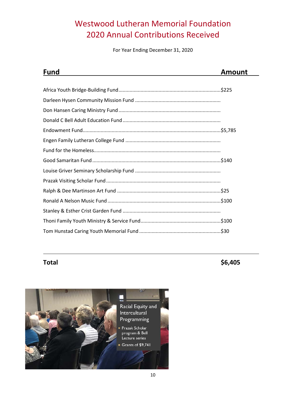## Westwood Lutheran Memorial Foundation 2020 Annual Contributions Received

For Year Ending December 31, 2020

| Fund | <b>Amount</b> |
|------|---------------|
|      |               |
|      |               |
|      |               |
|      |               |
|      |               |
|      |               |
|      |               |
|      |               |
|      |               |
|      |               |
|      |               |
|      |               |
|      |               |
|      |               |
|      |               |
|      |               |

**Total \$6,405** 

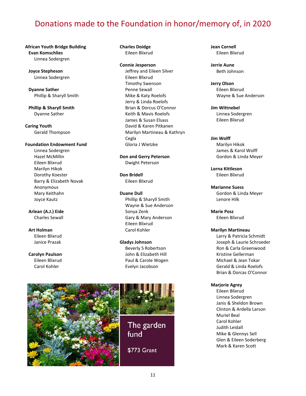## Donations made to the Foundation in honor/memory of, in 2020

### **African Youth Bridge Building Evan Komschlies** Linnea Sodergren

 **Joyce Stepheson** Linnea Sodergren

 **Dyanne Sather** Phillip & Sharyll Smith

 **Phillip & Sharyll Smith** Dyanne Sather

**Caring Youth** Gerald Thompson

#### **Foundation Endowment Fund**

Linnea Sodergren Hazel McMillin Eileen Blixrud Marilyn Hikok Dorothy Koester Barry & Elizabeth Novak Anonymous Mary Keithahn Joyce Kautz

 **Arlean (A.J.) Eide** Charles Sewall

 **Art Holman** Eileen Blixrud Janice Prazak

 **Carolyn Paulson** Eileen Blixrud Carol Kohler

 **Charles Doidge** Eileen Blixrud

 **Connie Jesperson** Jeffrey and Eileen Silver Eileen Blixrud Timothy Swenson Penne Sewall Mike & Katy Roelofs Jerry & Linda Roelofs Brian & Dorcus O'Connor Keith & Mavis Roelofs James & Susan Elsass David & Karen Pitkanen Marilyn Martineau & Kathryn Cegla Gloria J Wietzke

 **Don and Gerry Peterson** Dwight Peterson

 **Don Bridell** Eileen Blixrud

#### **Duane Dull**

Phillip & Sharyll Smith Wayne & Sue Anderson Sonya Zenk Gary & Mary Anderson Eileen Blixrud Carol Kohler

#### **Gladys Johnson**

Beverly S Robertson John & Elizabeth Hill Paul & Carole Wogen Evelyn Jacobson



\$773 Grant

 **Jean Cornell** Eileen Blixrud

 **Jerrie Aune** Beth Johnson

 **Jerry Olson** Eileen Blixrud Wayne & Sue Anderson

 **Jim Wittnebel** Linnea Sodergren Eileen Blixrud

#### **Jim Wolff**

Marilyn Hikok James & Karol Wolff Gordon & Linda Meyer

 **Lorna Kittleson** Eileen Blixrud

 **Marianne Suess** Gordon & Linda Meyer Lenore Hilk

 **Marie Posz** Eileen Blixrud

#### **Marilyn Martineau**

Larry & Patricia Schmidt Joseph & Laurie Schroeder Ron & Carla Greenwood Kristine Gellerman Michael & Jean Tokar Gerald & Linda Roelofs Brian & Dorcas O'Connor

#### **Marjorie Agrey**

Eileen Blixrud Linnea Sodergren Janis & Sheldon Brown Clinton & Ardella Larson Muriel Beal Carol Kohler Judith Leidall Mike & Glennys Sell Glen & Eileen Soderberg Mark & Karen Scott